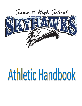

# Athletic Handbook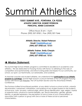## Summit Athletics

#### **15551 SUMMIT AVE., FONTANA, CA 92336 ATHLETIC DIRECTOR, ROBERT PETERSON PRINCIPAL, RENEE CASTANON**

Office Hours: 8 am – 4 pm Phone: (909) 357-5950 | Fax: (909) 357-7646

> **Athletic Director, Robert Peterson Email: [PeteRA@fusd.net](mailto:PeteRA@fusd.net) (909) 357-5950 ext. 15151**

**Athletic Trainer, Emily Cherpin Email: [CherEA@fusd.net](mailto:CherEA@fusd.net) (909) 357-5950 ext. 15161**

#### ➔ **Mission Statement:**

The Summit High School Athletic program is committed to excellence in academics and athletics. We are dedicated to Pursuing Victory with Honor, to adhering to the rules of competition and sportsmanship, and strive to bring pride and respect to our community, our school, our sport, our teammates, our adversaries, and ourselves.

As teacher-coaches and student-athletes, we understand that **participation in our Athletic program is a privilege**. Summit High School is a proud member of the CIF program Pursuing Victory with Honor (CIF Website), the CIF Southern Section and the Arrowhead Athletic Conference.

The Fontana Unified School Board prohibits, at any district school or school activity, unlawful discrimination, harassment, intimidation, and bullying of any student based on the student's actual race, color, ancestry, national origin, ethnic group identification, age, religion, marital or parental status, physical or mental disability, sex, sexual orientation, gender, gender identity, or gender expression; the perception of one or more of such characteristics; or association with a person or group with one or more of these actual or perceived characteristics.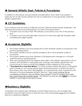#### ➔ **General Athletic Dept. Policies & Procedures:**

In addition to the policies and procedures included below, each team may publish a particular set of rules and/or policies that are an addendum to and governed under the Athletic department.

#### ➔ **CIF Guidelines:**

In accordance with the state of California and the California Interscholastic Federation, the following are provisions for participating in an after-school sports team:

- A student must not reach their 19th birthday on/or before June 14th of the previous year.
- A student must have attended high school for no more than eight (8) semesters after completing the eighth grade.

#### ➔ **Academic Eligibility:**

- The student-athlete must have passed 20 or more semester credits of schoolwork in the previous grading period.
- The student-athlete must be currently enrolled in 20 or more semester credits of schoolwork.
- The student-athlete must have attained a 2.00 grade point average on a 4.0-point scale the previous grading period.
- After each grading period, the registrar will publish to the Athletic department a list of students who fall below a 2.00 grade point average. The Athletic department will communicate to head coaches the ineligible student-athletes for that quarter.
- **\* Procedures for a one-time Waiver**: If a Varsity student-athlete falls below a 2.00 grade point average on any quarter grade report during their season or before the start of their season, they may retain their eligibility, on a probationary basis, if granted by the Principal or Principal-designee (Athletic Director). Only Varsity athletes will be considered for Waivers, and we HIGHLY discourage 9th and 10th graders from using one, even if they are a Varsity player. This Waiver can only be used **ONCE** in a studentathlete's 4-year high school sports career.

#### ➔**Residency Eligibility:**

All students who transfer (are admitted) to Summit High School (i.e. do not begin their enrollment at Summit High School on their first day of the ninth grade) must see the Athletic Director to determine eligibility.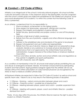#### ➔ **Conduct – CIF Code of Ethics:**

Athletics is an integral part of the school's total educational program. All school activities, curricular and extra-curricular, in the classroom and on the playing field, must be congruent with the school's stated goals and objectives established for the intellectual, physical, social and moral development of its students. It is within this context that the following Code of Ethics is presented.

As an athlete, I understand that it is my responsibility to:

- 1. Place academic achievement as the highest priority.
- 2. Show respect for teammates, opponents, officials and coaches.
- 3. Respect the integrity and judgment of game officials.
- 4. Exhibit fair play, sportsmanship and proper conduct on and off the playing field.
- 5. Maintain a high level of safety awareness.
- 6. Refrain from the use of profanity, vulgarity and other offensive language and gestures.
- 7. Adhere to the established rules and standards of the game to be played.
- 8. Respect all equipment and use it safely and appropriately.
- 9. Refrain from the use of alcohol, tobacco, illegal and non-prescriptive drugs, anabolic steroids or any substance to increase physical development or performance that is not approved by the United States Food and Drug Administration, Surgeon General of the United States or American Medical Association.
- 10.Know and follow all state, section and school athletic rules and regulations as they pertain to eligibility and sports participation.
- 11.Win with character, lose with dignity.

As a condition of membership in the CIF, all schools shall adopt policies prohibiting the use and abuse of androgenic/anabolic steroids. All member schools shall have participating students and their parents, legal guardian/caregiver agree that the athlete will not use steroids without the written prescription of a fully licensed physician (as recognized by the AMA) to treat a medical condition (Article 523).

All SkyHawk Athletes are expected to follow the CIF Code of Conduct as well as school and specific team rules. Failure to do so may result in the following phases of discipline:

- 1st Offense Warning verbal communication between player and coach
- 2nd Offense Parental contact possible loss of playing time
- 3rd Offense Meeting between player, parent and coach possible suspension from team
- 4th Offense Meeting with parents, player, coach and Athletic Director possible dismissal from team.

\*Note: At any step within this process, the Athletic Director reserves the right to place the student on Athletic Probation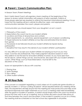#### ➔ **Parent / Coach Communication Plan:**

In-Season Team /Parent Meetings

Each Varsity Head Coach will organize a team meeting at the beginning of the season to review certain information with parents of team members. Parents of those players selected are required to attend this important informational meeting. It is our hope that this meeting will be a vehicle for effective, open, and appropriate communication between the coach, players and parents.

Communication you should expect from your daughter's or son's coach:

- 1. Philosophy of the coach
- 2. Expectations the coach has for your student-athlete
- 3. Locations and times of all practices and contests
- 4. Team requirements, i.e., practices, special equipment, out of season conditioning

5. Proper behavior by student-athletes on bus trips and estimated time for return from games

6. Procedures to be followed should your student-athlete be injured during participation

7. Discipline that may result in the denial of your student-athlete's participation

It is very difficult to accept your student-athlete not playing as much as you may hope. Coaches are professionals. They make judgment decisions based on what they believe to be the best for all student-athletes involved. As you have seen from the list above, certain things can be, and should be, discussed with your student athlete's coach. Other things, such as those listed below, must be left to the discretion of the coach.

Issues not appropriate to discuss with coaches:

- 1. Playing time
- 2. Team Strategy
- 3. Play calling
- 4. Other student-athletes

### ➔ **24 Hour Rule:**

If the concern or complaint regarding a coach arises out of a particular game situation or specific incident, a "24 hour cooling off period" will be required before any meeting will be held. This requirement will help ensure that the meeting be more productive and help avoid emotional responses that might otherwise occur if such a meeting were held immediately after the game or incident in question. A parent should simply inform the coach by email or phone that they wish to set up a meeting, and no further discussion should take place at that time between the coach and the parent. If the incident in question occurs on a Friday, the meeting shall be scheduled on the next school day agreeable to all parties.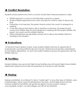#### ➔ **Conflict Resolution:**

Students and/or parents who have a concern should follow these procedures in order:

- NEVER approach a coach on the field after a practice or game.
- Student-athlete approaches the coach and asks for a time to meet to discuss the issue.
- If resolution is not reached, the parent should contact the coach to arrange for a meeting.
- In the rare instance that there is still no resolution to the issue, the parent should contact the Athletic Director and arrange for a meeting with the student-athlete, the parent, the coach and the Athletic Director.
- Other administrators are generally involved only to discuss the Athletic Director's handling of the situation.

#### ➔ **Evaluations:**

At the end of each season of sport, every student-athlete will have an opportunity to evaluate their coaching staff through the Coaches' Performance Evaluation administered by the Athletic department. It is up to the student-athlete to pursue this opportunity with the Athletic Director.

#### ➔ **Facilities:**

Student-athletes may use Summit High School facilities only with Summit High School Athletic department approval and under the supervision of a faculty or staff member.

#### ➔ **Hazing:**

Hazing is prohibited. Any attempt to hold a "rookie night" or any other type of initiation, even if held privately, will be cause for dismissal from the team. Summit High School and the Fontana Unified School District will uphold the dignity of every student. Hazing is unacceptable conduct, as well as illegal, and will not be tolerated.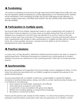#### ➔ **Fundraising:**

All campus fundraising must be done through approved Summit High School ASB clubs only. The law expressly forbids fundraising for outside organizations or for individual profit; violators will be disciplined. Only fundraising activities with Summit ASB approval are allowed. If a student violates these terms, THE ITEMS AND MONEY WILL BE CONFISCATED AND PARENTS WILL BE NOTIFIED.

#### ➔ **Participation in multiple sports**:

The Summit High School Athletic department seeks to work cooperatively with students to allow them to pursue interests in as many areas as possible during their time at Summit. All athletes who compete for a Summit team are allowed to try out for a team in the next season of sport upon the conclusion of the previous season. Coaches and teachers will try to work cooperatively with families to allow participation in multiple activities (dance, theatre, band, etc.) when possible. However, coaches have the ability to set the minimum requirements for team membership.

#### ➔ **Practice Sessions:**

A coach may, at their discretion, determine whether practice sessions are open or closed to parents/spectators. Oftentimes the presence of parents puts undue pressure on studentathletes and serves as a distraction to the coaching process. There are no Sunday practice sessions.

#### ➔ **Sportsmanship:**

Beyond the guidelines and regulations that Summit High school is obligated to follow, it is the hope that everyone associated with our Athletic programs recognize the purpose of our sportsmanship policies.

Anyone associated with an Athletic contest has a responsibility to uphold the highest standards of sportsmanship before, during, and after a contest. Sportsmanship includes, but is not limited to, the following:

- Show respect for teammates, opponents, and officials.
- Treat opponents as guests in your facility.
- Accept both victory and defeat with grace and dignity.
- Refrain from heckling, jeering, or using profane language.
- Be positive in words and actions.

Parents are the primary role models for their children. It is critical that parents set the best example of sportsmanship, particularly when they are spectators at an athletic contest.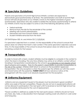#### ➔ **Spectator Guidelines:**

Parents and spectators at Summit High School Athletic contests are expected to demonstrate good sportsmanship at all times. The administration and staff at Summit High School will hold all spectators at our Athletic events to the highest standards of good sportsmanship. Spectators who are unable to exhibit the necessary sportsmanship to attend our Athletic events may be subject to some or all of the following disciplinary action:

- Verbal reminder
- Removal from the site for the remainder of the contest
- Meeting with Summit administration
- Permanent ban from Summit Athletic contests
- Student-Athlete removed from the team

CIF STATE Bylaw 503. M. and Article 22.C.(1)(2)(3)(4)

If a spectator is ejected from a contest, it is the responsibility of the school to ensure that person does not attend that team's next contest. If the same spectator is ejected a second time, it is the responsibility of the school to ensure that person does not attend any of the remaining contests for that season.

#### ➔ **Transportation:**

In order to travel with a team, student-athletes must be eligible to compete in the contest to which the team is traveling. The only time athletes may arrive at an athletic contest without traveling in transportation coordinated by the school is on a Saturday or non-regular school day if school is not in session. Then it is the parent's responsibility to provide transportation to the site of the contest. Athletes MUST return to school on the bus/district approved transportation. The only exception is when the parents sign the athlete out with the coach and travel home with the parent(s). **PARENT ONLY!** 24-hour advance notice of this arrangement with the coach is an absolute requirement for this exception.

### ➔ **Uniforms/Equipment:**

Uniforms and any equipment issued to the players must be returned in good condition\* within one week of the last competition. Players who do not turn in equipment/uniforms will not be allowed to participate in the next sport until it is received or Summit High School has been monetarily reimbursed for the cost of replacement.

\*Good condition is defined as usable for the next sports season. Uniforms should not have any tears, rips, holes, or discoloration from improper washing (wash all uniforms in cold water and hang-dry).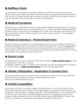#### ➔ **Quitting a Team:**

To emphasize the importance and great degree of commitment asked of the Summit athlete: any student-athlete who quits a team once they have been selected for that team, may not join any other Summit team until the conclusion of that first sport's season. This rule may be waived at the sole discretion of Athletic administration.

#### ➔ **Medical Procedures:**

Summit has an on staff athletic trainer to assist student-athletes during practice or contests. If a student-athlete suffers an injury during practice or a contest, the onsite medical personnel will respond first. If the trainer is not available, the on-site coach will assess the extent of the injury and call the student-athlete's parents (non-serious injury) and/or 911 for emergency medical treatment.

#### ➔ **Medical Clearance - Physical Exam Form:**

Students wishing to participate in an interscholastic sport must show evidence of having a physical examination given by a licensed California physician that covers their entire season of sport. Summit High School hosts on-site physicals several times a year that are good for one calendar year. There is a nominal fee for the examination. Student-athletes who miss the examinations must arrange for one on their own.

#### ➔ **Doctor's note:**

All athletes that have seen a doctor for *any* reason require a **written medical release** in order to participate in practice or contests.

No athletes under the care of a doctor for an infected wound may participate in practices or contests without a **written medical release** from their attending physician.

#### ➔ **Athletic Participation – Registration & Consent Form:**

No student-athletes may tryout, practice or compete for a team or with a team until their Athletic Clearance Packet has been completed electronically at https://www.athleticclearance.com/

#### ➔ **Outside Competition:**

According to CIF rules, no student-athlete may participate on a non-school team of the same sport during the same season. This includes leagues, tournaments, charity games, allstar games, 3-3 tournaments, college classes, etc. Since participation in a non-school event of the same sport will render an athlete ineligible and force the forfeiture of any Summit contest, student-athletes must check with the Athletic Director BEFOREHAND if there is any doubt as to whether a competition is permissible according to CIF by-laws.